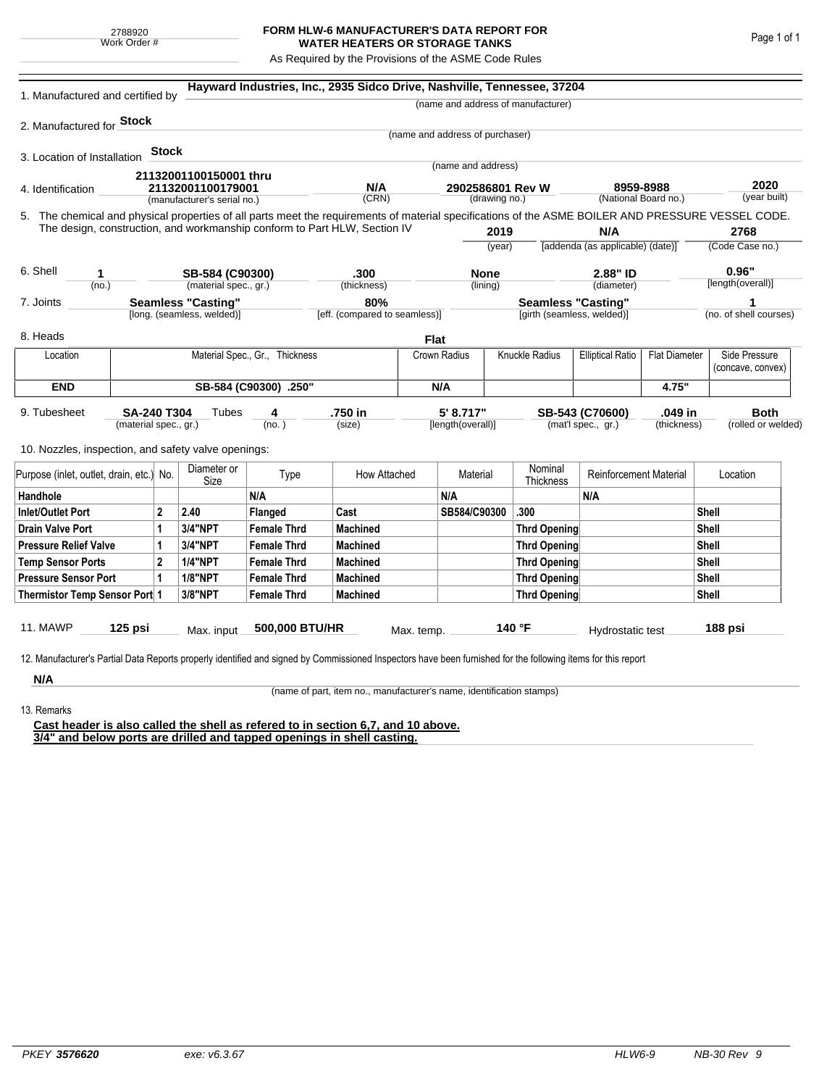## **FORM HLW-6 MANUFACTURER'S DATA REPORT FOR WATER HEATERS OR STORAGE TANKS**

As Required by the Provisions of the ASME Code Rules

| 1. Manufactured and certified by                                                                                                                                                                                                |                                                         |              |                             |                                | Hayward Industries, Inc., 2935 Sidco Drive, Nashville, Tennessee, 37204 |             |                                   |                                                         |                                                                 |                                   |                        |                      |                   |
|---------------------------------------------------------------------------------------------------------------------------------------------------------------------------------------------------------------------------------|---------------------------------------------------------|--------------|-----------------------------|--------------------------------|-------------------------------------------------------------------------|-------------|-----------------------------------|---------------------------------------------------------|-----------------------------------------------------------------|-----------------------------------|------------------------|----------------------|-------------------|
|                                                                                                                                                                                                                                 |                                                         |              |                             |                                |                                                                         |             |                                   |                                                         | (name and address of manufacturer)                              |                                   |                        |                      |                   |
| 2. Manufactured for <b>Stock</b>                                                                                                                                                                                                |                                                         |              |                             |                                |                                                                         |             |                                   |                                                         |                                                                 |                                   |                        |                      |                   |
|                                                                                                                                                                                                                                 |                                                         |              |                             |                                |                                                                         |             | (name and address of purchaser)   |                                                         |                                                                 |                                   |                        |                      |                   |
| 3. Location of Installation                                                                                                                                                                                                     |                                                         | <b>Stock</b> |                             |                                |                                                                         |             | (name and address)                |                                                         |                                                                 |                                   |                        |                      |                   |
|                                                                                                                                                                                                                                 |                                                         |              | 21132001100150001 thru      |                                |                                                                         |             |                                   |                                                         |                                                                 |                                   |                        |                      |                   |
| 4. Identification                                                                                                                                                                                                               |                                                         |              | 21132001100179001           |                                | N/A<br>(CRN)                                                            |             | 2902586801 Rev W<br>(drawing no.) |                                                         |                                                                 | 8959-8988<br>(National Board no.) |                        | 2020<br>(year built) |                   |
|                                                                                                                                                                                                                                 |                                                         |              | (manufacturer's serial no.) |                                |                                                                         |             |                                   |                                                         |                                                                 |                                   |                        |                      |                   |
| 5. The chemical and physical properties of all parts meet the requirements of material specifications of the ASME BOILER AND PRESSURE VESSEL CODE.<br>The design, construction, and workmanship conform to Part HLW, Section IV |                                                         |              |                             |                                |                                                                         |             |                                   | 2019                                                    |                                                                 | N/A                               |                        |                      | 2768              |
|                                                                                                                                                                                                                                 |                                                         |              |                             |                                |                                                                         |             |                                   | (year)                                                  |                                                                 | [addenda (as applicable) (date)]  |                        | (Code Case no.)      |                   |
|                                                                                                                                                                                                                                 |                                                         |              |                             |                                |                                                                         |             |                                   |                                                         |                                                                 |                                   |                        |                      |                   |
| 6. Shell<br>1                                                                                                                                                                                                                   |                                                         |              |                             | SB-584 (C90300)                | .300                                                                    |             | <b>None</b>                       |                                                         | 2.88" ID                                                        |                                   |                        | 0.96"                |                   |
| (no.)                                                                                                                                                                                                                           |                                                         |              | (material spec., gr.)       |                                | (thickness)                                                             |             | (lining)                          |                                                         |                                                                 | (diameter)                        |                        |                      | [length(overall)] |
| 7. Joints                                                                                                                                                                                                                       | <b>Seamless "Casting"</b><br>[long. (seamless, welded)] |              |                             |                                | 80%<br>[eff. (compared to seamless)]                                    |             |                                   | <b>Seamless "Casting"</b><br>[girth (seamless, welded)] |                                                                 |                                   | (no. of shell courses) |                      |                   |
|                                                                                                                                                                                                                                 |                                                         |              |                             |                                |                                                                         |             |                                   |                                                         |                                                                 |                                   |                        |                      |                   |
| 8. Heads                                                                                                                                                                                                                        |                                                         |              |                             |                                |                                                                         | <b>Flat</b> |                                   |                                                         |                                                                 |                                   |                        |                      |                   |
| Location                                                                                                                                                                                                                        |                                                         |              |                             | Material Spec., Gr., Thickness |                                                                         |             | Crown Radius                      |                                                         | Knuckle Radius                                                  | <b>Elliptical Ratio</b>           | <b>Flat Diameter</b>   |                      | Side Pressure     |
|                                                                                                                                                                                                                                 |                                                         |              |                             |                                |                                                                         |             |                                   |                                                         |                                                                 |                                   |                        |                      | (concave, convex) |
| <b>END</b>                                                                                                                                                                                                                      | SB-584 (C90300) .250"                                   |              |                             |                                |                                                                         |             | N/A                               |                                                         |                                                                 |                                   | 4.75"                  |                      |                   |
| 9. Tubesheet<br><b>SA-240 T304</b>                                                                                                                                                                                              |                                                         |              | Tubes                       | 4                              | .750 in<br>(size)                                                       |             | 5' 8.717"<br>[length(overall)]    |                                                         | .049 in<br>SB-543 (C70600)<br>(mat'l spec., gr.)<br>(thickness) |                                   |                        | <b>Both</b>          |                   |
|                                                                                                                                                                                                                                 | (material spec., gr.)                                   |              |                             | (no. )                         |                                                                         |             |                                   |                                                         |                                                                 |                                   |                        | (rolled or welded)   |                   |
| 10. Nozzles, inspection, and safety valve openings:                                                                                                                                                                             |                                                         |              |                             |                                |                                                                         |             |                                   |                                                         |                                                                 |                                   |                        |                      |                   |
|                                                                                                                                                                                                                                 |                                                         |              |                             |                                |                                                                         |             |                                   |                                                         |                                                                 |                                   |                        |                      |                   |
| Purpose (inlet, outlet, drain, etc.) No.                                                                                                                                                                                        |                                                         |              | Diameter or<br>Size         | Type                           | How Attached                                                            | Material    |                                   |                                                         | Nominal<br>Thickness                                            | <b>Reinforcement Material</b>     |                        | Location             |                   |
| Handhole                                                                                                                                                                                                                        |                                                         |              |                             | N/A                            |                                                                         |             | N/A                               |                                                         |                                                                 | N/A                               |                        |                      |                   |
| <b>Inlet/Outlet Port</b>                                                                                                                                                                                                        |                                                         | $\mathbf{2}$ | 2.40                        | Flanged                        | Cast                                                                    |             | SB584/C90300                      |                                                         | .300                                                            |                                   |                        | Shell                |                   |
| <b>Drain Valve Port</b><br>1                                                                                                                                                                                                    |                                                         |              | 3/4"NPT                     | <b>Female Thrd</b>             | <b>Machined</b>                                                         |             |                                   |                                                         | <b>Thrd Opening</b>                                             |                                   |                        | Shell                |                   |
| <b>Pressure Relief Valve</b><br>1                                                                                                                                                                                               |                                                         |              | 3/4"NPT                     | <b>Female Thrd</b>             | <b>Machined</b>                                                         |             |                                   | <b>Thrd Opening</b>                                     |                                                                 |                                   |                        | Shell                |                   |
| $\overline{2}$<br><b>Temp Sensor Ports</b>                                                                                                                                                                                      |                                                         |              | <b>1/4"NPT</b>              | <b>Female Thrd</b>             | <b>Machined</b>                                                         |             |                                   |                                                         | <b>Thrd Opening</b>                                             |                                   |                        | Shell                |                   |
| <b>Pressure Sensor Port</b><br>1                                                                                                                                                                                                |                                                         |              | <b>1/8"NPT</b>              | <b>Female Thrd</b>             | <b>Machined</b>                                                         |             |                                   |                                                         | Thrd Opening                                                    |                                   |                        | Shell                |                   |
| Thermistor Temp Sensor Port 1                                                                                                                                                                                                   |                                                         |              | 3/8"NPT                     | <b>Female Thrd</b>             | <b>Machined</b>                                                         |             |                                   |                                                         | Thrd Opening                                                    |                                   |                        | Shell                |                   |
|                                                                                                                                                                                                                                 |                                                         |              |                             |                                |                                                                         |             |                                   |                                                         |                                                                 |                                   |                        |                      |                   |
| 11. MAWP                                                                                                                                                                                                                        | $125$ psi                                               |              | Max. input                  | 500,000 BTU/HR                 |                                                                         | Max. temp.  |                                   |                                                         | 140 °F                                                          | Hydrostatic test                  |                        |                      | 188 psi           |
|                                                                                                                                                                                                                                 |                                                         |              |                             |                                |                                                                         |             |                                   |                                                         |                                                                 |                                   |                        |                      |                   |
| 12. Manufacturer's Partial Data Reports properly identified and signed by Commissioned Inspectors have been furnished for the following items for this report                                                                   |                                                         |              |                             |                                |                                                                         |             |                                   |                                                         |                                                                 |                                   |                        |                      |                   |
| N/A                                                                                                                                                                                                                             |                                                         |              |                             |                                |                                                                         |             |                                   |                                                         |                                                                 |                                   |                        |                      |                   |

(name of part, item no., manufacturer's name, identification stamps)

13. Remarks

**Cast header is also called the shell as refered to in section 6,7, and 10 above. 3/4" and below ports are drilled and tapped openings in shell casting.**